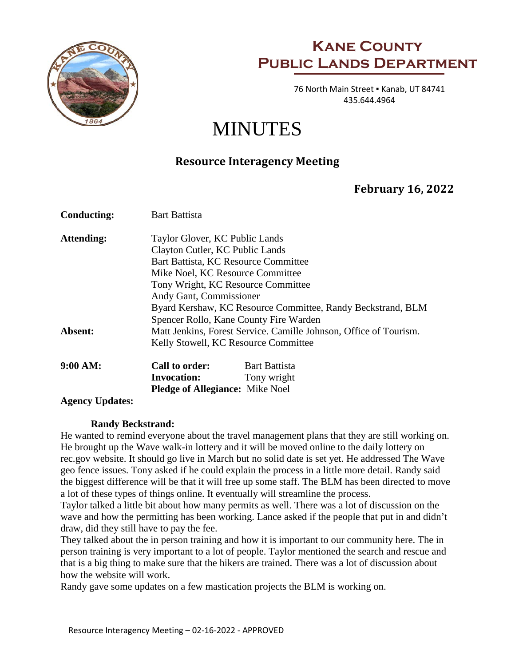

## **Kane County Public Lands Department**

 76 North Main Street ▪ Kanab, UT 84741 435.644.4964

# MINUTES

### **Resource Interagency Meeting**

### **February 16, 2022**

| <b>Conducting:</b>                   | <b>Bart Battista</b>                                              |                      |
|--------------------------------------|-------------------------------------------------------------------|----------------------|
| Attending:                           | Taylor Glover, KC Public Lands                                    |                      |
|                                      | Clayton Cutler, KC Public Lands                                   |                      |
|                                      | Bart Battista, KC Resource Committee                              |                      |
|                                      | Mike Noel, KC Resource Committee                                  |                      |
|                                      | Tony Wright, KC Resource Committee                                |                      |
|                                      | Andy Gant, Commissioner                                           |                      |
|                                      | Byard Kershaw, KC Resource Committee, Randy Beckstrand, BLM       |                      |
|                                      | Spencer Rollo, Kane County Fire Warden                            |                      |
| Absent:                              | Matt Jenkins, Forest Service. Camille Johnson, Office of Tourism. |                      |
| Kelly Stowell, KC Resource Committee |                                                                   |                      |
| 9:00 AM:                             | Call to order:                                                    | <b>Bart Battista</b> |
|                                      | <b>Invocation:</b>                                                | Tony wright          |
|                                      | <b>Pledge of Allegiance:</b> Mike Noel                            |                      |
| <b>Agency Updates:</b>               |                                                                   |                      |

#### **Randy Beckstrand:**

He wanted to remind everyone about the travel management plans that they are still working on. He brought up the Wave walk-in lottery and it will be moved online to the daily lottery on rec.gov website. It should go live in March but no solid date is set yet. He addressed The Wave geo fence issues. Tony asked if he could explain the process in a little more detail. Randy said the biggest difference will be that it will free up some staff. The BLM has been directed to move a lot of these types of things online. It eventually will streamline the process.

Taylor talked a little bit about how many permits as well. There was a lot of discussion on the wave and how the permitting has been working. Lance asked if the people that put in and didn't draw, did they still have to pay the fee.

They talked about the in person training and how it is important to our community here. The in person training is very important to a lot of people. Taylor mentioned the search and rescue and that is a big thing to make sure that the hikers are trained. There was a lot of discussion about how the website will work.

Randy gave some updates on a few mastication projects the BLM is working on.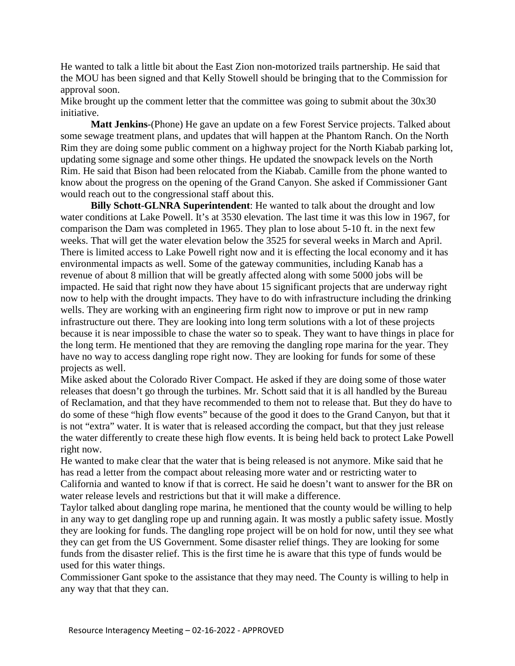He wanted to talk a little bit about the East Zion non-motorized trails partnership. He said that the MOU has been signed and that Kelly Stowell should be bringing that to the Commission for approval soon.

Mike brought up the comment letter that the committee was going to submit about the 30x30 initiative.

**Matt Jenkins**-(Phone) He gave an update on a few Forest Service projects. Talked about some sewage treatment plans, and updates that will happen at the Phantom Ranch. On the North Rim they are doing some public comment on a highway project for the North Kiabab parking lot, updating some signage and some other things. He updated the snowpack levels on the North Rim. He said that Bison had been relocated from the Kiabab. Camille from the phone wanted to know about the progress on the opening of the Grand Canyon. She asked if Commissioner Gant would reach out to the congressional staff about this.

**Billy Schott-GLNRA Superintendent**: He wanted to talk about the drought and low water conditions at Lake Powell. It's at 3530 elevation. The last time it was this low in 1967, for comparison the Dam was completed in 1965. They plan to lose about 5-10 ft. in the next few weeks. That will get the water elevation below the 3525 for several weeks in March and April. There is limited access to Lake Powell right now and it is effecting the local economy and it has environmental impacts as well. Some of the gateway communities, including Kanab has a revenue of about 8 million that will be greatly affected along with some 5000 jobs will be impacted. He said that right now they have about 15 significant projects that are underway right now to help with the drought impacts. They have to do with infrastructure including the drinking wells. They are working with an engineering firm right now to improve or put in new ramp infrastructure out there. They are looking into long term solutions with a lot of these projects because it is near impossible to chase the water so to speak. They want to have things in place for the long term. He mentioned that they are removing the dangling rope marina for the year. They have no way to access dangling rope right now. They are looking for funds for some of these projects as well.

Mike asked about the Colorado River Compact. He asked if they are doing some of those water releases that doesn't go through the turbines. Mr. Schott said that it is all handled by the Bureau of Reclamation, and that they have recommended to them not to release that. But they do have to do some of these "high flow events" because of the good it does to the Grand Canyon, but that it is not "extra" water. It is water that is released according the compact, but that they just release the water differently to create these high flow events. It is being held back to protect Lake Powell right now.

He wanted to make clear that the water that is being released is not anymore. Mike said that he has read a letter from the compact about releasing more water and or restricting water to California and wanted to know if that is correct. He said he doesn't want to answer for the BR on water release levels and restrictions but that it will make a difference.

Taylor talked about dangling rope marina, he mentioned that the county would be willing to help in any way to get dangling rope up and running again. It was mostly a public safety issue. Mostly they are looking for funds. The dangling rope project will be on hold for now, until they see what they can get from the US Government. Some disaster relief things. They are looking for some funds from the disaster relief. This is the first time he is aware that this type of funds would be used for this water things.

Commissioner Gant spoke to the assistance that they may need. The County is willing to help in any way that that they can.